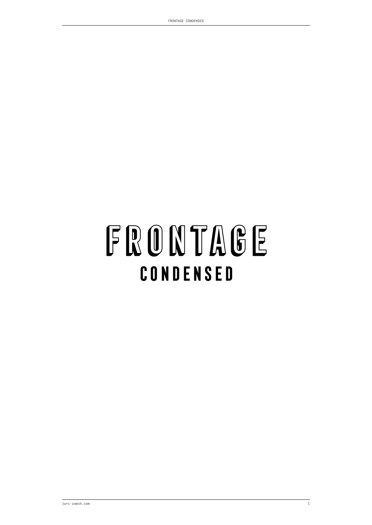# FRONTAGE CONDENSED

FRONTAGE CONDENSED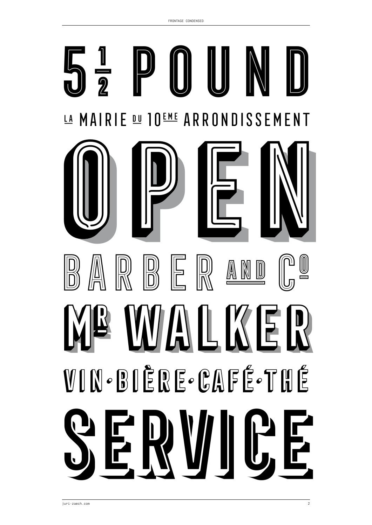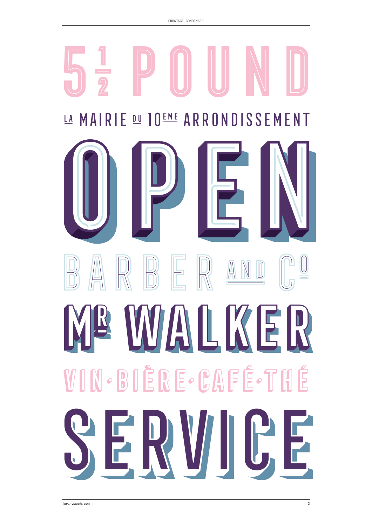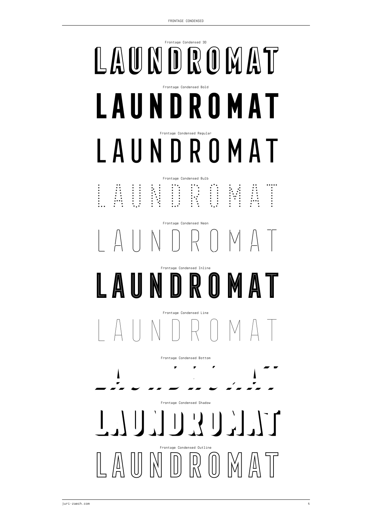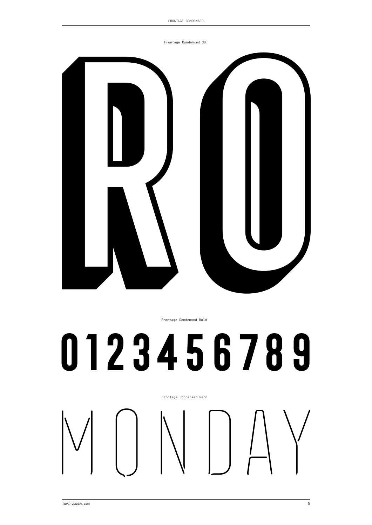Frontage Condensed 3D



Frontage Condensed Bold

# **0123456789**

Frontage Condensed Neon

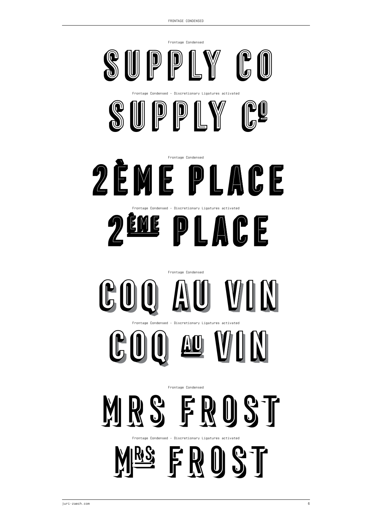



Frontage Condensed – Discretionary Ligatures activated



## Frontage Condensed **COQ AU VIN**





Frontage Condensed – Discretionary Ligatures activated

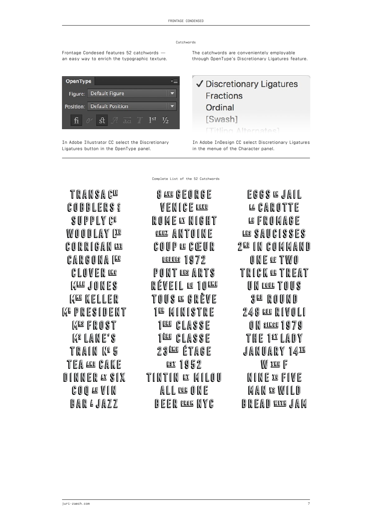Catchwords

Frontage Condesed features 52 catchwords an easy way to enrich the typographic texture.

The catchwords are convenientely employable through OpenType's Discretionary Ligatures feature.



In Adobe Illustrator CC select the Discretionary Ligatures button in the OpenType panel.

✔ Discretionary Ligatures **Fractions** Ordinal **Swash1 ETHling Alternates** 

In Adobe InDesign CC select Discretionary Ligatures in the menue of the Character panel.

TRANSAGE **COBBLERS 8 SUPPLY CO WOODLAY (E) CORRIGAN LOD CARGONA ILE CLOVER WG MARE JONES MAG KELLER M& PRESIDENT MASFROST ME LANE'S TRAIN Nº 5 TEA AND CAKE** DINNER AT SIX **COO AUVIN BAR 4 JAZZ** 

8 ALG GEORGE **WENICE BLUE** ROME & NIGHT **COCE ANTOINE** COUP @ CŒUR **DEPULS 1972** PONT DES ARTS RÉVEIL @ 10 **ENG** TOUS @ GRÈVE **1ª MINISTRE** 188 CLASSE 1<sup>ELE</sup> CLASSE 23LL ÉTAGE **EST 1952** TINTIN ¤ MILOU ALL EOG ONE **BEER BOOK NYC** 

Complete List of the 52 Catchwords

**EGGS @ JAIL** LA CAROTTE **LE FROMAGE** LES SAUCISSES 2<sup>m</sup> in Command ONECTWO **TRICK @TREAT** UN **POOR TOUS 3<sup>80</sup> ROUND 248 000 RIVOLI** ON SINCE 1979 THE 1º LADY **JANUARY 14<sup>14</sup> WEG** F NINE 10 FIVE MAN 18 WILD BREAD WILD JAM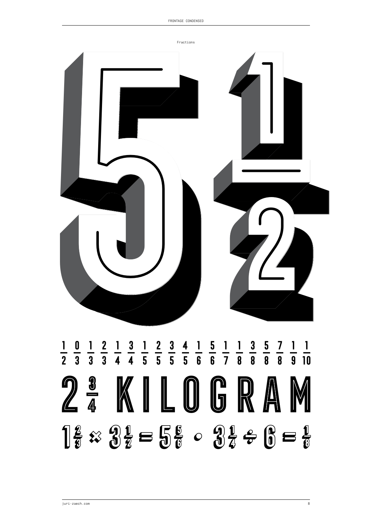